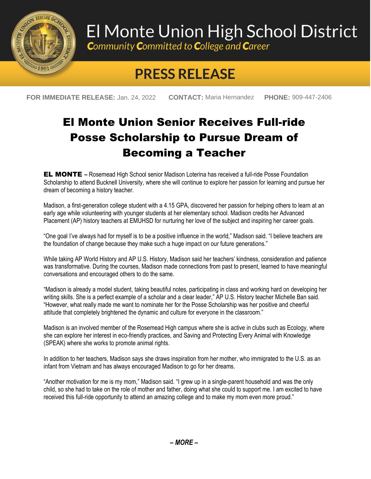

## El Monte Union High School District

**Community Committed to College and Career** 

## **PRESS RELEASE**

**FOR IMMEDIATE RELEASE:** Jan. 24, 2022 **CONTACT:** Maria Hernandez **PHONE:** 909-447-2406

## El Monte Union Senior Receives Full-ride Posse Scholarship to Pursue Dream of Becoming a Teacher

EL MONTE **–** Rosemead High School senior Madison Loterina has received a full-ride Posse Foundation Scholarship to attend Bucknell University, where she will continue to explore her passion for learning and pursue her dream of becoming a history teacher.

Madison, a first-generation college student with a 4.15 GPA, discovered her passion for helping others to learn at an early age while volunteering with younger students at her elementary school. Madison credits her Advanced Placement (AP) history teachers at EMUHSD for nurturing her love of the subject and inspiring her career goals.

"One goal I've always had for myself is to be a positive influence in the world," Madison said. "I believe teachers are the foundation of change because they make such a huge impact on our future generations."

While taking AP World History and AP U.S. History, Madison said her teachers' kindness, consideration and patience was transformative. During the courses, Madison made connections from past to present, learned to have meaningful conversations and encouraged others to do the same.

"Madison is already a model student, taking beautiful notes, participating in class and working hard on developing her writing skills. She is a perfect example of a scholar and a clear leader," AP U.S. History teacher Michelle Ban said. "However, what really made me want to nominate her for the Posse Scholarship was her positive and cheerful attitude that completely brightened the dynamic and culture for everyone in the classroom."

Madison is an involved member of the Rosemead High campus where she is active in clubs such as Ecology, where she can explore her interest in eco-friendly practices, and Saving and Protecting Every Animal with Knowledge (SPEAK) where she works to promote animal rights.

In addition to her teachers, Madison says she draws inspiration from her mother, who immigrated to the U.S. as an infant from Vietnam and has always encouraged Madison to go for her dreams.

"Another motivation for me is my mom," Madison said. "I grew up in a single-parent household and was the only child, so she had to take on the role of mother and father, doing what she could to support me. I am excited to have received this full-ride opportunity to attend an amazing college and to make my mom even more proud."